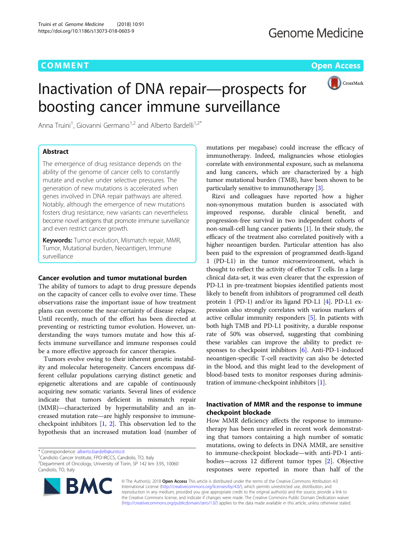# **COMMENT COMMENT COMMENT COMMENT**

CrossMark

# Inactivation of DNA repair—prospects for boosting cancer immune surveillance

Anna Truini<sup>1</sup>, Giovanni Germano<sup>1,2</sup> and Alberto Bardelli<sup>1,2\*</sup>

# Abstract

The emergence of drug resistance depends on the ability of the genome of cancer cells to constantly mutate and evolve under selective pressures. The generation of new mutations is accelerated when genes involved in DNA repair pathways are altered. Notably, although the emergence of new mutations fosters drug resistance, new variants can nevertheless become novel antigens that promote immune surveillance and even restrict cancer growth.

**Keywords:** Tumor evolution, Mismatch repair, MMR, Tumor, Mutational burden, Neoantigen, Immune surveillance

## Cancer evolution and tumor mutational burden

The ability of tumors to adapt to drug pressure depends on the capacity of cancer cells to evolve over time. These observations raise the important issue of how treatment plans can overcome the near-certainty of disease relapse. Until recently, much of the effort has been directed at preventing or restricting tumor evolution. However, understanding the ways tumors mutate and how this affects immune surveillance and immune responses could be a more effective approach for cancer therapies.

Tumors evolve owing to their inherent genetic instability and molecular heterogeneity. Cancers encompass different cellular populations carrying distinct genetic and epigenetic alterations and are capable of continuously acquiring new somatic variants. Several lines of evidence indicate that tumors deficient in mismatch repair (MMR)—characterized by hypermutability and an increased mutation rate—are highly responsive to immunecheckpoint inhibitors [[1,](#page-2-0) [2\]](#page-2-0). This observation led to the hypothesis that an increased mutation load (number of

\* Correspondence: [alberto.bardelli@unito.it](mailto:alberto.bardelli@unito.it) <sup>1</sup>

<sup>&</sup>lt;sup>2</sup> Department of Oncology, University of Torin, SP 142 km 3.95, 10060 Candiolo, TO, Italy



mutations per megabase) could increase the efficacy of immunotherapy. Indeed, malignancies whose etiologies correlate with environmental exposure, such as melanoma and lung cancers, which are characterized by a high tumor mutational burden (TMB), have been shown to be particularly sensitive to immunotherapy [[3\]](#page-2-0).

Rizvi and colleagues have reported how a higher non-synonymous mutation burden is associated with improved response, durable clinical benefit, and progression-free survival in two independent cohorts of non-small-cell lung cancer patients [\[1](#page-2-0)]. In their study, the efficacy of the treatment also correlated positively with a higher neoantigen burden. Particular attention has also been paid to the expression of programmed death-ligand 1 (PD-L1) in the tumor microenvironment, which is thought to reflect the activity of effector T cells. In a large clinical data-set, it was even clearer that the expression of PD-L1 in pre-treatment biopsies identified patients most likely to benefit from inhibitors of programmed cell death protein 1 (PD-1) and/or its ligand PD-L1 [\[4](#page-2-0)]. PD-L1 expression also strongly correlates with various markers of active cellular immunity responders [\[5](#page-2-0)]. In patients with both high TMB and PD-L1 positivity, a durable response rate of 50% was observed, suggesting that combining these variables can improve the ability to predict responses to checkpoint inhibitors [\[6\]](#page-2-0). Anti-PD-1-induced neoantigen-specific T-cell reactivity can also be detected in the blood, and this might lead to the development of blood-based tests to monitor responses during administration of immune-checkpoint inhibitors [[1](#page-2-0)].

# Inactivation of MMR and the response to immune checkpoint blockade

How MMR deficiency affects the response to immunotherapy has been unraveled in recent work demonstrating that tumors containing a high number of somatic mutations, owing to defects in DNA MMR, are sensitive to immune-checkpoint blockade—with anti-PD-1 antibodies—across 12 different tumor types [[2\]](#page-2-0). Objective responses were reported in more than half of the

© The Author(s). 2018 Open Access This article is distributed under the terms of the Creative Commons Attribution 4.0 International License [\(http://creativecommons.org/licenses/by/4.0/](http://creativecommons.org/licenses/by/4.0/)), which permits unrestricted use, distribution, and reproduction in any medium, provided you give appropriate credit to the original author(s) and the source, provide a link to the Creative Commons license, and indicate if changes were made. The Creative Commons Public Domain Dedication waiver [\(http://creativecommons.org/publicdomain/zero/1.0/](http://creativecommons.org/publicdomain/zero/1.0/)) applies to the data made available in this article, unless otherwise stated.

<sup>&</sup>lt;sup>1</sup>Candiolo Cancer Institute, FPO-IRCCS, Candiolo, TO, Italy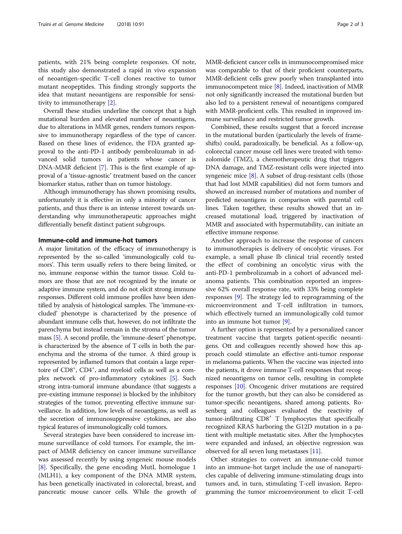patients, with 21% being complete responses. Of note, this study also demonstrated a rapid in vivo expansion of neoantigen-specific T-cell clones reactive to tumor mutant neopeptides. This finding strongly supports the idea that mutant neoantigens are responsible for sensitivity to immunotherapy [[2\]](#page-2-0).

Overall these studies underline the concept that a high mutational burden and elevated number of neoantigens, due to alterations in MMR genes, renders tumors responsive to immunotherapy regardless of the type of cancer. Based on these lines of evidence, the FDA granted approval to the anti-PD-1 antibody pembrolizumab in advanced solid tumors in patients whose cancer is DNA-MMR deficient [[7\]](#page-2-0). This is the first example of approval of a 'tissue-agnostic' treatment based on the cancer biomarker status, rather than on tumor histology.

Although immunotherapy has shown promising results, unfortunately it is effective in only a minority of cancer patients, and thus there is an intense interest towards understanding why immunotherapeutic approaches might differentially benefit distinct patient subgroups.

## Immune-cold and immune-hot tumors

A major limitation of the efficacy of immunotherapy is represented by the so-called 'immunologically cold tumors'. This term usually refers to there being limited, or no, immune response within the tumor tissue. Cold tumors are those that are not recognized by the innate or adaptive immune system, and do not elicit strong immune responses. Different cold immune profiles have been identified by analysis of histological samples. The 'immune-excluded' phenotype is characterized by the presence of abundant immune cells that, however, do not infiltrate the parenchyma but instead remain in the stroma of the tumor mass [\[5\]](#page-2-0). A second profile, the 'immune-desert' phenotype, is characterized by the absence of T cells in both the parenchyma and the stroma of the tumor. A third group is represented by inflamed tumors that contain a large repertoire of CD8<sup>+</sup>, CD4<sup>+</sup>, and myeloid cells as well as a complex network of pro-inflammatory cytokines [[5\]](#page-2-0). Such strong intra-tumoral immune abundance (that suggests a pre-existing immune response) is blocked by the inhibitory strategies of the tumor, preventing effective immune surveillance. In addition, low levels of neoantigens, as well as the secretion of immunosuppressive cytokines, are also typical features of immunologically cold tumors.

Several strategies have been considered to increase immune surveillance of cold tumors. For example, the impact of MMR deficiency on cancer immune surveillance was assessed recently by using syngeneic mouse models [[8\]](#page-2-0). Specifically, the gene encoding MutL homologue 1 (MLH1), a key component of the DNA MMR system, has been genetically inactivated in colorectal, breast, and pancreatic mouse cancer cells. While the growth of MMR-deficient cancer cells in immunocompromised mice was comparable to that of their proficient counterparts, MMR-deficient cells grew poorly when transplanted into immunocompetent mice [\[8](#page-2-0)]. Indeed, inactivation of MMR not only significantly increased the mutational burden but also led to a persistent renewal of neoantigens compared with MMR-proficient cells. This resulted in improved immune surveillance and restricted tumor growth.

Combined, these results suggest that a forced increase in the mutational burden (particularly the levels of frameshifts) could, paradoxically, be beneficial. As a follow-up, colorectal cancer mouse cell lines were treated with temozolomide (TMZ), a chemotherapeutic drug that triggers DNA damage, and TMZ-resistant cells were injected into syngeneic mice [\[8\]](#page-2-0). A subset of drug-resistant cells (those that had lost MMR capabilities) did not form tumors and showed an increased number of mutations and number of predicted neoantigens in comparison with parental cell lines. Taken together, these results showed that an increased mutational load, triggered by inactivation of MMR and associated with hypermutability, can initiate an effective immune response.

Another approach to increase the response of cancers to immunotherapies is delivery of oncolytic viruses. For example, a small phase Ib clinical trial recently tested the effect of combining an oncolytic virus with the anti-PD-1 pembrolizumab in a cohort of advanced melanoma patients. This combination reported an impressive 62% overall response rate, with 33% being complete responses [[9\]](#page-2-0). The strategy led to reprogramming of the microenvironment and T-cell infiltration in tumors, which effectively turned an immunologically cold tumor into an immune hot tumor [[9\]](#page-2-0).

A further option is represented by a personalized cancer treatment vaccine that targets patient-specific neoantigens. Ott and colleagues recently showed how this approach could stimulate an effective anti-tumor response in melanoma patients. When the vaccine was injected into the patients, it drove immune T-cell responses that recognized neoantigens on tumor cells, resulting in complete responses [[10](#page-2-0)]. Oncogenic driver mutations are required for the tumor growth, but they can also be considered as tumor-specific neoantigens, shared among patients. Rosenberg and colleagues evaluated the reactivity of tumor-infiltrating CD8+ T lymphocytes that specifically recognized KRAS harboring the G12D mutation in a patient with multiple metastatic sites. After the lymphocytes were expanded and infused, an objective regression was observed for all seven lung metastases [[11](#page-2-0)].

Other strategies to convert an immune-cold tumor into an immune-hot target include the use of nanoparticles capable of delivering immune-stimulating drugs into tumors and, in turn, stimulating T-cell invasion. Reprogramming the tumor microenvironment to elicit T-cell